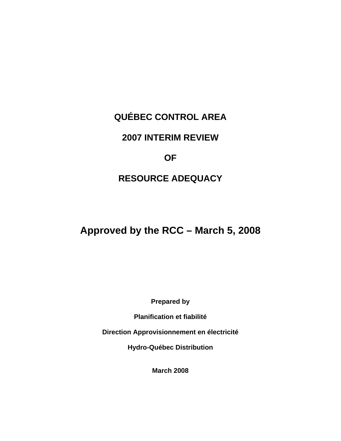# **QUÉBEC CONTROL AREA**

## **2007 INTERIM REVIEW**

## **OF**

# **RESOURCE ADEQUACY**

# **Approved by the RCC – March 5, 2008**

**Prepared by** 

**Planification et fiabilité** 

**Direction Approvisionnement en électricité** 

**Hydro-Québec Distribution** 

**March 2008**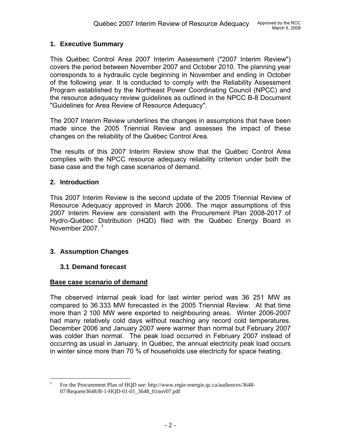## **1. Executive Summary**

This Québec Control Area 2007 Interim Assessment ("2007 Interim Review") covers the period between November 2007 and October 2010. The planning year corresponds to a hydraulic cycle beginning in November and ending in October of the following year. It is conducted to comply with the Reliability Assessment Program established by the Northeast Power Coordinating Council (NPCC) and the resource adequacy review guidelines as outlined in the NPCC B-8 Document "Guidelines for Area Review of Resource Adequacy".

The 2007 Interim Review underlines the changes in assumptions that have been made since the 2005 Triennial Review and assesses the impact of these changes on the reliability of the Québec Control Area.

The results of this 2007 Interim Review show that the Québec Control Area complies with the NPCC resource adequacy reliability criterion under both the base case and the high case scenarios of demand.

### **2. Introduction**

This 2007 Interim Review is the second update of the 2005 Triennial Review of Resource Adequacy approved in March 2006. The major assumptions of this 2007 Interim Review are consistent with the Procurement Plan 2008-2017 of Hydro-Québec Distribution (HQD) filed with the Québec Energy Board in November 2007.<sup>[1](#page-1-0)</sup>

## **3. Assumption Changes**

### **3.1 Demand forecast**

### **Base case scenario of demand**

The observed internal peak load for last winter period was 36 251 MW as compared to 36 333 MW forecasted in the 2005 Triennial Review. At that time more than 2 100 MW were exported to neighbouring areas. Winter 2006-2007 had many relatively cold days without reaching any record cold temperatures. December 2006 and January 2007 were warmer than normal but February 2007 was colder than normal. The peak load occurred in February 2007 instead of occurring as usual in January. In Québec, the annual electricity peak load occurs in winter since more than 70 % of households use electricity for space heating.

<span id="page-1-0"></span> $\frac{1}{1}$  For the Procurement Plan of HQD see: <http://www.regie-energie.qc.ca/audiences/3648-> 07/Requete3648/B-1-HQD-01-01\_3648\_01nov07.pdf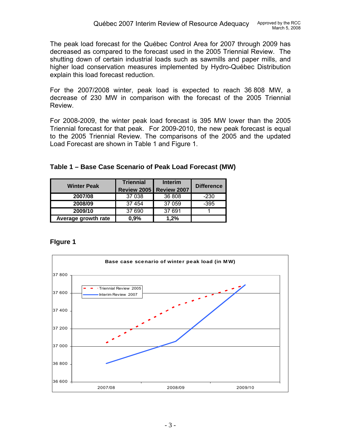The peak load forecast for the Québec Control Area for 2007 through 2009 has decreased as compared to the forecast used in the 2005 Triennial Review. The shutting down of certain industrial loads such as sawmills and paper mills, and higher load conservation measures implemented by Hydro-Québec Distribution explain this load forecast reduction.

For the 2007/2008 winter, peak load is expected to reach 36 808 MW, a decrease of 230 MW in comparison with the forecast of the 2005 Triennial Review.

For 2008-2009, the winter peak load forecast is 395 MW lower than the 2005 Triennial forecast for that peak. For 2009-2010, the new peak forecast is equal to the 2005 Triennial Review. The comparisons of the 2005 and the updated Load Forecast are shown in Table 1 and Figure 1.

|  |  |  | Table 1 – Base Case Scenario of Peak Load Forecast (MW) |  |
|--|--|--|---------------------------------------------------------|--|
|  |  |  |                                                         |  |

| <b>Winter Peak</b>  | <b>Triennial</b> | <b>Interim</b>                   | <b>Difference</b> |  |
|---------------------|------------------|----------------------------------|-------------------|--|
|                     |                  | <b>Review 2005   Review 2007</b> |                   |  |
| 2007/08             | 37 038           | 36 808                           | $-230$            |  |
| 2008/09             | 37 454           | 37 059                           | -395              |  |
| 2009/10             | 37 690           | 37 691                           |                   |  |
| Average growth rate | 0.9%             | 1.2%                             |                   |  |

## **FIgure 1**

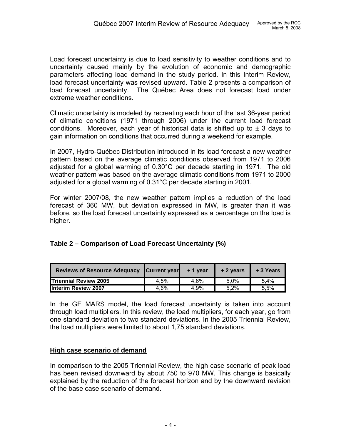Load forecast uncertainty is due to load sensitivity to weather conditions and to uncertainty caused mainly by the evolution of economic and demographic parameters affecting load demand in the study period. In this Interim Review, load forecast uncertainty was revised upward. Table 2 presents a comparison of load forecast uncertainty. The Québec Area does not forecast load under extreme weather conditions.

Climatic uncertainty is modeled by recreating each hour of the last 36-year period of climatic conditions (1971 through 2006) under the current load forecast conditions. Moreover, each year of historical data is shifted up to  $\pm$  3 days to gain information on conditions that occurred during a weekend for example.

In 2007, Hydro-Québec Distribution introduced in its load forecast a new weather pattern based on the average climatic conditions observed from 1971 to 2006 adjusted for a global warming of 0.30°C per decade starting in 1971. The old weather pattern was based on the average climatic conditions from 1971 to 2000 adjusted for a global warming of 0.31°C per decade starting in 2001.

For winter 2007/08, the new weather pattern implies a reduction of the load forecast of 360 MW, but deviation expressed in MW, is greater than it was before, so the load forecast uncertainty expressed as a percentage on the load is higher.

| Reviews of Resource Adequacy Current year + 1 year |      |      | $+2$ years | + 3 Years |
|----------------------------------------------------|------|------|------------|-----------|
| <b>Triennial Review 2005</b>                       | 4.5% | 4.6% | 5.0%       | 5.4%      |
| Interim Review 2007                                | 4.6% | 4.9% | $5.2\%$    | 5.5%      |

## **Table 2 – Comparison of Load Forecast Uncertainty (%)**

In the GE MARS model, the load forecast uncertainty is taken into account through load multipliers. In this review, the load multipliers, for each year, go from one standard deviation to two standard deviations. In the 2005 Triennial Review, the load multipliers were limited to about 1,75 standard deviations.

## **High case scenario of demand**

In comparison to the 2005 Triennial Review, the high case scenario of peak load has been revised downward by about 750 to 970 MW. This change is basically explained by the reduction of the forecast horizon and by the downward revision of the base case scenario of demand.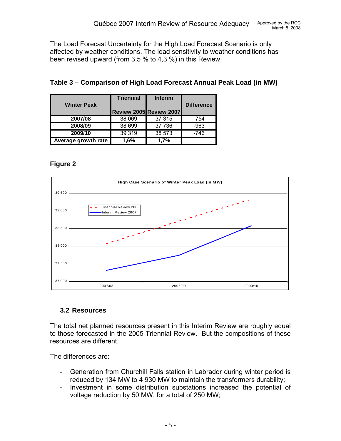The Load Forecast Uncertainty for the High Load Forecast Scenario is only affected by weather conditions. The load sensitivity to weather conditions has been revised upward (from 3,5 % to 4,3 %) in this Review.

|                     | <b>Triennial</b>        | <b>Interim</b> |                   |
|---------------------|-------------------------|----------------|-------------------|
| <b>Winter Peak</b>  | Review 2005 Review 2007 |                | <b>Difference</b> |
| 2007/08             | 38 069                  | 37 315         | $-754$            |
| 2008/09             | 38 699                  | 37 736         | -963              |
| 2009/10             | 39 319                  | 38 573         | -746              |
| Average growth rate | 1.6%                    | 1.7%           |                   |

## **Table 3 – Comparison of High Load Forecast Annual Peak Load (in MW)**

## **Figure 2**



## **3.2 Resources**

The total net planned resources present in this Interim Review are roughly equal to those forecasted in the 2005 Triennial Review. But the compositions of these resources are different.

The differences are:

- Generation from Churchill Falls station in Labrador during winter period is reduced by 134 MW to 4 930 MW to maintain the transformers durability;
- Investment in some distribution substations increased the potential of voltage reduction by 50 MW, for a total of 250 MW;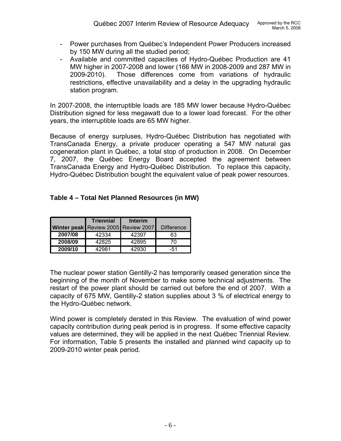- Power purchases from Québec's Independent Power Producers increased by 150 MW during all the studied period;
- Available and committed capacities of Hydro-Québec Production are 41 MW higher in 2007-2008 and lower (166 MW in 2008-2009 and 287 MW in 2009-2010). Those differences come from variations of hydraulic restrictions, effective unavailability and a delay in the upgrading hydraulic station program.

In 2007-2008, the interruptible loads are 185 MW lower because Hydro-Québec Distribution signed for less megawatt due to a lower load forecast. For the other years, the interruptible loads are 65 MW higher.

Because of energy surpluses, Hydro-Québec Distribution has negotiated with TransCanada Energy, a private producer operating a 547 MW natural gas cogeneration plant in Québec, a total stop of production in 2008. On December 7, 2007, the Québec Energy Board accepted the agreement between TransCanada Energy and Hydro-Québec Distribution. To replace this capacity, Hydro-Québec Distribution bought the equivalent value of peak power resources.

| Table 4 – Total Net Planned Resources (in MW) |
|-----------------------------------------------|
|-----------------------------------------------|

|         | <b>Triennial</b>                    | <b>Interim</b> |                   |
|---------|-------------------------------------|----------------|-------------------|
|         | Winter peak Review 2005 Review 2007 |                | <b>Difference</b> |
| 2007/08 | 42334                               | 42397          | 63                |
| 2008/09 | 42825                               | 42895          | 70                |
| 2009/10 | 42981                               | 42930          | -51               |

The nuclear power station Gentilly-2 has temporarily ceased generation since the beginning of the month of November to make some technical adjustments. The restart of the power plant should be carried out before the end of 2007. With a capacity of 675 MW, Gentilly-2 station supplies about 3 % of electrical energy to the Hydro-Québec network.

Wind power is completely derated in this Review. The evaluation of wind power capacity contribution during peak period is in progress. If some effective capacity values are determined, they will be applied in the next Québec Triennial Review. For information, Table 5 presents the installed and planned wind capacity up to 2009-2010 winter peak period.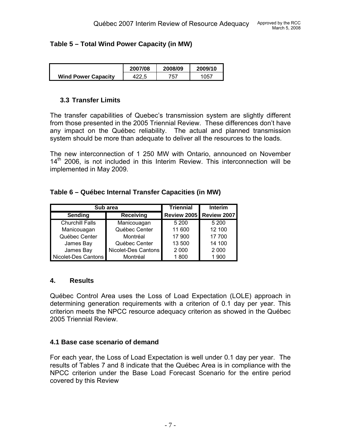## **Table 5 – Total Wind Power Capacity (in MW)**

|                            | 2007/08 | 2008/09    | 2009/10 |
|----------------------------|---------|------------|---------|
| <b>Wind Power Capacity</b> |         | 757<br>ັບເ | 1057    |

## **3.3 Transfer Limits**

The transfer capabilities of Quebec's transmission system are slightly different from those presented in the 2005 Triennial Review. These differences don't have any impact on the Québec reliability. The actual and planned transmission system should be more than adequate to deliver all the resources to the loads.

The new interconnection of 1 250 MW with Ontario, announced on November  $14<sup>th</sup>$  2006, is not included in this Interim Review. This interconnection will be implemented in May 2009.

## **Table 6 – Québec Internal Transfer Capacities (in MW)**

| Sub area               | <b>Triennial</b>    | Interim |                                |
|------------------------|---------------------|---------|--------------------------------|
| Sending                | <b>Receiving</b>    |         | <b>Review 2005 Review 2007</b> |
| <b>Churchill Falls</b> | Manicouagan         | 5 200   | 5 200                          |
| Manicouagan            | Québec Center       | 11 600  | 12 100                         |
| Québec Center          | Montréal            | 17 900  | 17 700                         |
| James Bay              | Québec Center       | 13 500  | 14 100                         |
| James Bay              | Nicolet-Des Cantons | 2 0 0 0 | 2 0 0 0                        |
| Nicolet-Des Cantons    | Montréal            | 1800    | 1 900                          |

### **4. Results**

Québec Control Area uses the Loss of Load Expectation (LOLE) approach in determining generation requirements with a criterion of 0.1 day per year. This criterion meets the NPCC resource adequacy criterion as showed in the Québec 2005 Triennial Review.

## **4.1 Base case scenario of demand**

For each year, the Loss of Load Expectation is well under 0.1 day per year. The results of Tables 7 and 8 indicate that the Québec Area is in compliance with the NPCC criterion under the Base Load Forecast Scenario for the entire period covered by this Review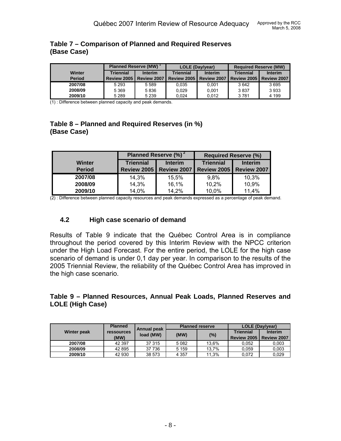|               | <b>Planned Reserve (MW)</b> |                | LOLE (Day/year) |                | <b>Required Reserve (MW)</b> |                |
|---------------|-----------------------------|----------------|-----------------|----------------|------------------------------|----------------|
| Winter        | <b>Triennial</b>            | <b>Interim</b> | Triennial       | <b>Interim</b> | Triennial                    | <b>Interim</b> |
| <b>Period</b> | Review 2005                 | Review 2007    | Review 2005     | Review 2007    | Review 2005                  | Review 2007    |
| 2007/08       | 5 2 9 3                     | 5 5 8 9        | 0.035           | 0.001          | 3642                         | 3695           |
| 2008/09       | 5 3 6 9                     | 5836           | 0.029           | 0.001          | 3837                         | 3933           |
| 2009/10       | 5 2 8 9                     | 5 2 3 9        | 0.024           | 0.012          | 3781                         | 4 1 9 9        |

### **Table 7 – Comparison of Planned and Required Reserves (Base Case)**

(1) : Difference between planned capacity and peak demands.

## **Table 8 – Planned and Required Reserves (in %) (Base Case)**

|               | Planned Reserve (%) <sup>2</sup>   |             | <b>Required Reserve (%)</b> |                |  |
|---------------|------------------------------------|-------------|-----------------------------|----------------|--|
| Winter        | <b>Triennial</b><br><b>Interim</b> |             | <b>Triennial</b>            | <b>Interim</b> |  |
| <b>Period</b> | <b>Review 2005</b>                 | Review 2007 | <b>Review 2005</b>          | Review 2007    |  |
| 2007/08       | 14,3%                              | 15,5%       | 9.8%                        | 10,3%          |  |
| 2008/09       | 14,3%                              | 16,1%       | 10,2%                       | 10,9%          |  |
| 2009/10       | 14,0%                              | 14,2%       | 10,0%                       | 11,4%          |  |

(2) : Difference between planned capacity resources and peak demands expressed as a percentage of peak demand.

## **4.2 High case scenario of demand**

Results of Table 9 indicate that the Québec Control Area is in compliance throughout the period covered by this Interim Review with the NPCC criterion under the High Load Forecast. For the entire period, the LOLE for the high case scenario of demand is under 0,1 day per year. In comparison to the results of the 2005 Triennial Review, the reliability of the Québec Control Area has improved in the high case scenario.

### **Table 9 – Planned Resources, Annual Peak Loads, Planned Reserves and LOLE (High Case)**

|                    | <b>Planned</b>    | <b>Annual peak</b> | <b>Planned reserve</b> |       | <b>LOLE (Day/year)</b> |                |
|--------------------|-------------------|--------------------|------------------------|-------|------------------------|----------------|
| <b>Winter peak</b> | <b>ressources</b> | load (MW)          |                        | (%)   | <b>Triennial</b>       | <b>Interim</b> |
|                    | (MW)              |                    | (MW)                   |       | Review 2005            | Review 2007    |
| 2007/08            | 42 397            | 37 315             | 5082                   | 13.6% | 0.052                  | 0,003          |
| 2008/09            | 42 895            | 37 736             | 5 1 5 9                | 13.7% | 0.059                  | 0.003          |
| 2009/10            | 42 930            | 38 573             | 4 3 5 7                | 11.3% | 0.072                  | 0.029          |